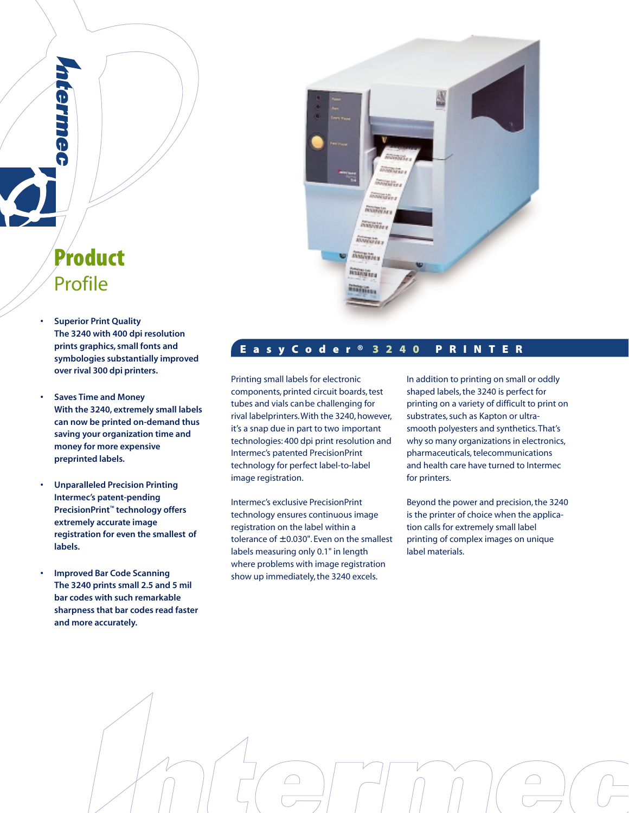# **Product** Profile

ennie.

- **Superior Print Quality The 3240 with 400 dpi resolution prints graphics, small fonts and symbologies substantially improved over rival 300 dpi printers.**
- **Saves Time and Money With the 3240, extremely small labels can now be printed on-demand thus saving your organization time and money for more expensive preprinted labels.**
- **Unparalleled Precision Printing Intermec's patent-pending PrecisionPrint™ technology offers extremely accurate image registration for even the smallest of labels.**
- **Improved Bar Code Scanning The 3240 prints small 2.5 and 5 mil bar codes with such remarkable sharpness that bar codes read faster and more accurately.**



## **E a s y C o d e r ® 3240 PRINTER**

Printing small labels for electronic components, printed circuit boards, test tubes and vials canbe challenging for rival labelprinters. With the 3240, however, it's a snap due in part to two important technologies: 400 dpi print resolution and Intermec's patented PrecisionPrint technology for perfect label-to-label image registration.

Intermec's exclusive PrecisionPrint technology ensures continuous image registration on the label within a tolerance of  $\pm$  0.030". Even on the smallest labels measuring only 0.1" in length where problems with image registration show up immediately, the 3240 excels.

In addition to printing on small or oddly shaped labels, the 3240 is perfect for printing on a variety of difficult to print on substrates, such as Kapton or ultrasmooth polyesters and synthetics. That's why so many organizations in electronics, pharmaceuticals, telecommunications and health care have turned to Intermec for printers.

Beyond the power and precision, the 3240 is the printer of choice when the application calls for extremely small label printing of complex images on unique label materials.